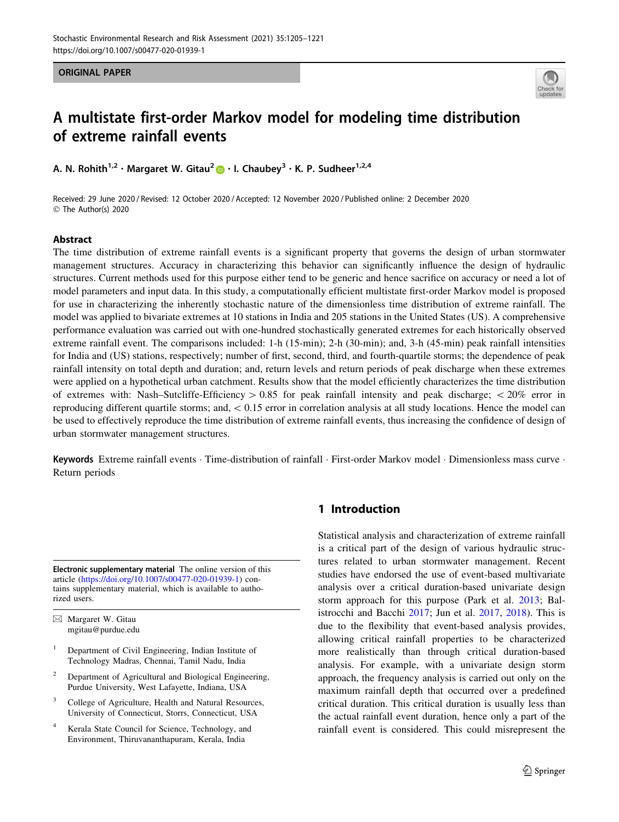ORIGINAL PAPER



# A multistate first-order Markov model for modeling time distribution of extreme rainfall events

A. N. Rohith<sup>1,[2](http://orcid.org/0000-0002-4931-7047)</sup> · Margaret W. Gitau<sup>2</sup>  $\bigcirc$  · I. Chaubey<sup>3</sup> · K. P. Sudheer<sup>1,2,4</sup>

Received: 29 June 2020 / Revised: 12 October 2020 / Accepted: 12 November 2020 / Published online: 2 December 2020 © The Author(s) 2020

# Abstract

The time distribution of extreme rainfall events is a significant property that governs the design of urban stormwater management structures. Accuracy in characterizing this behavior can significantly influence the design of hydraulic structures. Current methods used for this purpose either tend to be generic and hence sacrifice on accuracy or need a lot of model parameters and input data. In this study, a computationally efficient multistate first-order Markov model is proposed for use in characterizing the inherently stochastic nature of the dimensionless time distribution of extreme rainfall. The model was applied to bivariate extremes at 10 stations in India and 205 stations in the United States (US). A comprehensive performance evaluation was carried out with one-hundred stochastically generated extremes for each historically observed extreme rainfall event. The comparisons included: 1-h (15-min); 2-h (30-min); and, 3-h (45-min) peak rainfall intensities for India and (US) stations, respectively; number of first, second, third, and fourth-quartile storms; the dependence of peak rainfall intensity on total depth and duration; and, return levels and return periods of peak discharge when these extremes were applied on a hypothetical urban catchment. Results show that the model efficiently characterizes the time distribution of extremes with: Nash–Sutcliffe-Efficiency  $> 0.85$  for peak rainfall intensity and peak discharge;  $< 20\%$  error in reproducing different quartile storms; and,  $< 0.15$  error in correlation analysis at all study locations. Hence the model can be used to effectively reproduce the time distribution of extreme rainfall events, thus increasing the confidence of design of urban stormwater management structures.

Keywords Extreme rainfall events · Time-distribution of rainfall · First-order Markov model · Dimensionless mass curve · Return periods

Electronic supplementary material The online version of this article [\(https://doi.org/10.1007/s00477-020-01939-1](https://doi.org/10.1007/s00477-020-01939-1)) contains supplementary material, which is available to authorized users.

 $\boxtimes$  Margaret W. Gitau mgitau@purdue.edu

- <sup>1</sup> Department of Civil Engineering, Indian Institute of Technology Madras, Chennai, Tamil Nadu, India
- <sup>2</sup> Department of Agricultural and Biological Engineering, Purdue University, West Lafayette, Indiana, USA
- College of Agriculture, Health and Natural Resources, University of Connecticut, Storrs, Connecticut, USA
- Kerala State Council for Science, Technology, and Environment, Thiruvananthapuram, Kerala, India

# 1 Introduction

Statistical analysis and characterization of extreme rainfall is a critical part of the design of various hydraulic structures related to urban stormwater management. Recent studies have endorsed the use of event-based multivariate analysis over a critical duration-based univariate design storm approach for this purpose (Park et al. [2013](#page-16-0); Balistrocchi and Bacchi [2017](#page-15-0); Jun et al. [2017](#page-15-0), [2018](#page-15-0)). This is due to the flexibility that event-based analysis provides, allowing critical rainfall properties to be characterized more realistically than through critical duration-based analysis. For example, with a univariate design storm approach, the frequency analysis is carried out only on the maximum rainfall depth that occurred over a predefined critical duration. This critical duration is usually less than the actual rainfall event duration, hence only a part of the rainfall event is considered. This could misrepresent the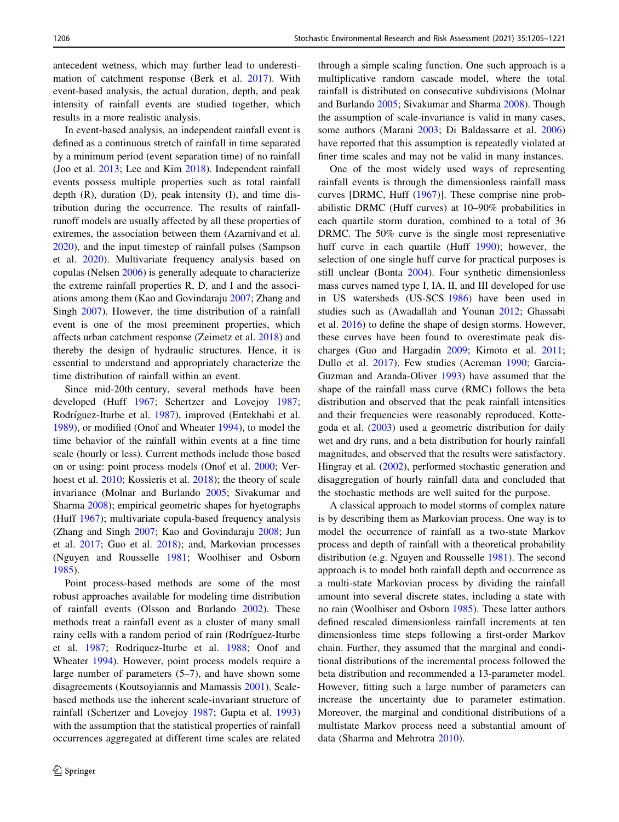antecedent wetness, which may further lead to underestimation of catchment response (Berk et al. [2017](#page-15-0)). With event-based analysis, the actual duration, depth, and peak intensity of rainfall events are studied together, which results in a more realistic analysis.

In event-based analysis, an independent rainfall event is defined as a continuous stretch of rainfall in time separated by a minimum period (event separation time) of no rainfall (Joo et al. [2013](#page-15-0); Lee and Kim [2018](#page-16-0)). Independent rainfall events possess multiple properties such as total rainfall depth (R), duration (D), peak intensity (I), and time distribution during the occurrence. The results of rainfallrunoff models are usually affected by all these properties of extremes, the association between them (Azarnivand et al. [2020\)](#page-15-0), and the input timestep of rainfall pulses (Sampson et al. [2020\)](#page-16-0). Multivariate frequency analysis based on copulas (Nelsen [2006\)](#page-16-0) is generally adequate to characterize the extreme rainfall properties R, D, and I and the associations among them (Kao and Govindaraju [2007](#page-15-0); Zhang and Singh [2007](#page-16-0)). However, the time distribution of a rainfall event is one of the most preeminent properties, which affects urban catchment response (Zeimetz et al. [2018\)](#page-16-0) and thereby the design of hydraulic structures. Hence, it is essential to understand and appropriately characterize the time distribution of rainfall within an event.

Since mid-20th century, several methods have been developed (Huff [1967;](#page-15-0) Schertzer and Lovejoy [1987](#page-16-0); Rodríguez-Iturbe et al. [1987](#page-16-0)), improved (Entekhabi et al. [1989\)](#page-15-0), or modified (Onof and Wheater [1994\)](#page-16-0), to model the time behavior of the rainfall within events at a fine time scale (hourly or less). Current methods include those based on or using: point process models (Onof et al. [2000;](#page-16-0) Verhoest et al. [2010;](#page-16-0) Kossieris et al. [2018\)](#page-15-0); the theory of scale invariance (Molnar and Burlando [2005](#page-16-0); Sivakumar and Sharma [2008](#page-16-0)); empirical geometric shapes for hyetographs (Huff [1967](#page-15-0)); multivariate copula-based frequency analysis (Zhang and Singh [2007](#page-16-0); Kao and Govindaraju [2008;](#page-15-0) Jun et al. [2017;](#page-15-0) Guo et al. [2018\)](#page-15-0); and, Markovian processes (Nguyen and Rousselle [1981](#page-16-0); Woolhiser and Osborn [1985\)](#page-16-0).

Point process-based methods are some of the most robust approaches available for modeling time distribution of rainfall events (Olsson and Burlando [2002](#page-16-0)). These methods treat a rainfall event as a cluster of many small rainy cells with a random period of rain (Rodríguez-Iturbe et al. [1987;](#page-16-0) Rodriquez-Iturbe et al. [1988;](#page-16-0) Onof and Wheater [1994\)](#page-16-0). However, point process models require a large number of parameters (5–7), and have shown some disagreements (Koutsoyiannis and Mamassis [2001](#page-16-0)). Scalebased methods use the inherent scale-invariant structure of rainfall (Schertzer and Lovejoy [1987](#page-16-0); Gupta et al. [1993\)](#page-15-0) with the assumption that the statistical properties of rainfall occurrences aggregated at different time scales are related

through a simple scaling function. One such approach is a multiplicative random cascade model, where the total rainfall is distributed on consecutive subdivisions (Molnar and Burlando [2005](#page-16-0); Sivakumar and Sharma [2008\)](#page-16-0). Though the assumption of scale-invariance is valid in many cases, some authors (Marani [2003](#page-16-0); Di Baldassarre et al. [2006\)](#page-15-0) have reported that this assumption is repeatedly violated at finer time scales and may not be valid in many instances.

One of the most widely used ways of representing rainfall events is through the dimensionless rainfall mass curves [DRMC, Huff ([1967\)](#page-15-0)]. These comprise nine probabilistic DRMC (Huff curves) at 10–90% probabilities in each quartile storm duration, combined to a total of 36 DRMC. The 50% curve is the single most representative huff curve in each quartile (Huff [1990\)](#page-15-0); however, the selection of one single huff curve for practical purposes is still unclear (Bonta [2004](#page-15-0)). Four synthetic dimensionless mass curves named type I, IA, II, and III developed for use in US watersheds (US-SCS [1986\)](#page-16-0) have been used in studies such as (Awadallah and Younan [2012](#page-15-0); Ghassabi et al. [2016\)](#page-15-0) to define the shape of design storms. However, these curves have been found to overestimate peak discharges (Guo and Hargadin [2009;](#page-15-0) Kimoto et al. [2011](#page-15-0); Dullo et al. [2017\)](#page-15-0). Few studies (Acreman [1990](#page-15-0); Garcia-Guzman and Aranda-Oliver [1993\)](#page-15-0) have assumed that the shape of the rainfall mass curve (RMC) follows the beta distribution and observed that the peak rainfall intensities and their frequencies were reasonably reproduced. Kottegoda et al. [\(2003](#page-15-0)) used a geometric distribution for daily wet and dry runs, and a beta distribution for hourly rainfall magnitudes, and observed that the results were satisfactory. Hingray et al. [\(2002](#page-15-0)), performed stochastic generation and disaggregation of hourly rainfall data and concluded that the stochastic methods are well suited for the purpose.

A classical approach to model storms of complex nature is by describing them as Markovian process. One way is to model the occurrence of rainfall as a two-state Markov process and depth of rainfall with a theoretical probability distribution (e.g. Nguyen and Rousselle [1981](#page-16-0)). The second approach is to model both rainfall depth and occurrence as a multi-state Markovian process by dividing the rainfall amount into several discrete states, including a state with no rain (Woolhiser and Osborn [1985](#page-16-0)). These latter authors defined rescaled dimensionless rainfall increments at ten dimensionless time steps following a first-order Markov chain. Further, they assumed that the marginal and conditional distributions of the incremental process followed the beta distribution and recommended a 13-parameter model. However, fitting such a large number of parameters can increase the uncertainty due to parameter estimation. Moreover, the marginal and conditional distributions of a multistate Markov process need a substantial amount of data (Sharma and Mehrotra [2010\)](#page-16-0).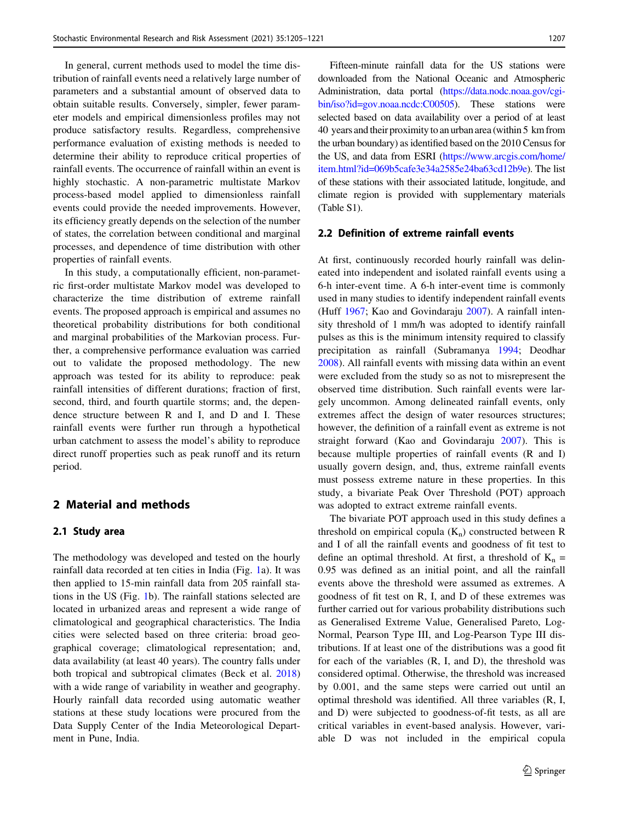In general, current methods used to model the time distribution of rainfall events need a relatively large number of parameters and a substantial amount of observed data to obtain suitable results. Conversely, simpler, fewer parameter models and empirical dimensionless profiles may not produce satisfactory results. Regardless, comprehensive performance evaluation of existing methods is needed to determine their ability to reproduce critical properties of rainfall events. The occurrence of rainfall within an event is highly stochastic. A non-parametric multistate Markov process-based model applied to dimensionless rainfall events could provide the needed improvements. However, its efficiency greatly depends on the selection of the number of states, the correlation between conditional and marginal processes, and dependence of time distribution with other properties of rainfall events.

In this study, a computationally efficient, non-parametric first-order multistate Markov model was developed to characterize the time distribution of extreme rainfall events. The proposed approach is empirical and assumes no theoretical probability distributions for both conditional and marginal probabilities of the Markovian process. Further, a comprehensive performance evaluation was carried out to validate the proposed methodology. The new approach was tested for its ability to reproduce: peak rainfall intensities of different durations; fraction of first, second, third, and fourth quartile storms; and, the dependence structure between R and I, and D and I. These rainfall events were further run through a hypothetical urban catchment to assess the model's ability to reproduce direct runoff properties such as peak runoff and its return period.

# 2 Material and methods

#### 2.1 Study area

The methodology was developed and tested on the hourly rainfall data recorded at ten cities in India (Fig. [1](#page-3-0)a). It was then applied to 15-min rainfall data from 205 rainfall stations in the US (Fig. [1](#page-3-0)b). The rainfall stations selected are located in urbanized areas and represent a wide range of climatological and geographical characteristics. The India cities were selected based on three criteria: broad geographical coverage; climatological representation; and, data availability (at least 40 years). The country falls under both tropical and subtropical climates (Beck et al. [2018\)](#page-15-0) with a wide range of variability in weather and geography. Hourly rainfall data recorded using automatic weather stations at these study locations were procured from the Data Supply Center of the India Meteorological Department in Pune, India.

Fifteen-minute rainfall data for the US stations were downloaded from the National Oceanic and Atmospheric Administration, data portal [\(https://data.nodc.noaa.gov/cgi](https://data.nodc.noaa.gov/cgi-bin/iso?id=gov.noaa.ncdc:C00505)[bin/iso?id=gov.noaa.ncdc:C00505](https://data.nodc.noaa.gov/cgi-bin/iso?id=gov.noaa.ncdc:C00505)). These stations were selected based on data availability over a period of at least 40 years andtheir proximityto an urban area (within 5 km from the urban boundary) as identified based on the 2010 Census for the US, and data from ESRI [\(https://www.arcgis.com/home/](https://www.arcgis.com/home/item.html?id=069b5cafe3e34a2585e24ba63cd12b9e) [item.html?id=069b5cafe3e34a2585e24ba63cd12b9e](https://www.arcgis.com/home/item.html?id=069b5cafe3e34a2585e24ba63cd12b9e)). The list of these stations with their associated latitude, longitude, and climate region is provided with supplementary materials (Table S1).

#### 2.2 Definition of extreme rainfall events

At first, continuously recorded hourly rainfall was delineated into independent and isolated rainfall events using a 6-h inter-event time. A 6-h inter-event time is commonly used in many studies to identify independent rainfall events (Huff [1967;](#page-15-0) Kao and Govindaraju [2007\)](#page-15-0). A rainfall intensity threshold of 1 mm/h was adopted to identify rainfall pulses as this is the minimum intensity required to classify precipitation as rainfall (Subramanya [1994](#page-16-0); Deodhar [2008](#page-15-0)). All rainfall events with missing data within an event were excluded from the study so as not to misrepresent the observed time distribution. Such rainfall events were largely uncommon. Among delineated rainfall events, only extremes affect the design of water resources structures; however, the definition of a rainfall event as extreme is not straight forward (Kao and Govindaraju [2007](#page-15-0)). This is because multiple properties of rainfall events (R and I) usually govern design, and, thus, extreme rainfall events must possess extreme nature in these properties. In this study, a bivariate Peak Over Threshold (POT) approach was adopted to extract extreme rainfall events.

The bivariate POT approach used in this study defines a threshold on empirical copula  $(K_n)$  constructed between R and I of all the rainfall events and goodness of fit test to define an optimal threshold. At first, a threshold of  $K_n =$ 0.95 was defined as an initial point, and all the rainfall events above the threshold were assumed as extremes. A goodness of fit test on R, I, and D of these extremes was further carried out for various probability distributions such as Generalised Extreme Value, Generalised Pareto, Log-Normal, Pearson Type III, and Log-Pearson Type III distributions. If at least one of the distributions was a good fit for each of the variables (R, I, and D), the threshold was considered optimal. Otherwise, the threshold was increased by 0.001, and the same steps were carried out until an optimal threshold was identified. All three variables (R, I, and D) were subjected to goodness-of-fit tests, as all are critical variables in event-based analysis. However, variable D was not included in the empirical copula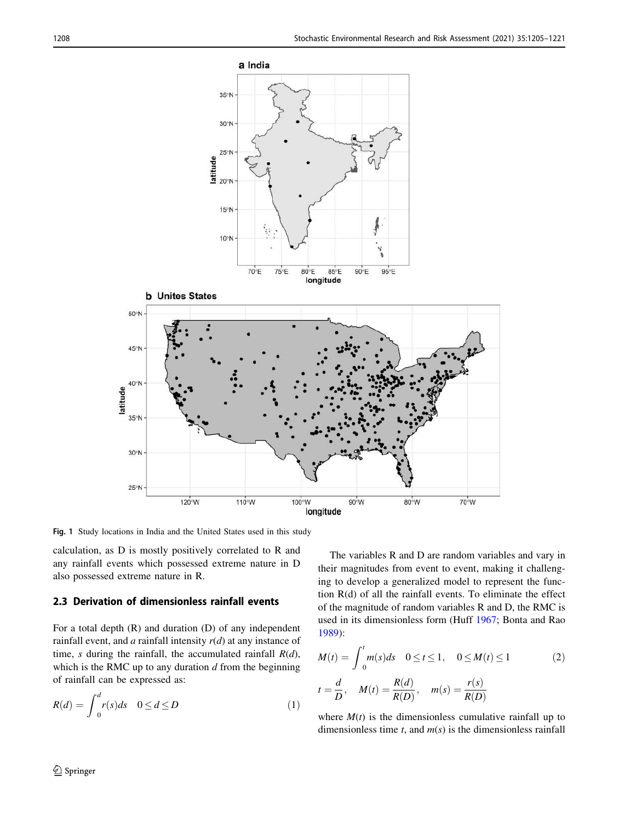<span id="page-3-0"></span>

Fig. 1 Study locations in India and the United States used in this study

calculation, as D is mostly positively correlated to R and any rainfall events which possessed extreme nature in D also possessed extreme nature in R.

# 2.3 Derivation of dimensionless rainfall events

For a total depth (R) and duration (D) of any independent rainfall event, and  $\alpha$  rainfall intensity  $r(d)$  at any instance of time, s during the rainfall, the accumulated rainfall  $R(d)$ , which is the RMC up to any duration  $d$  from the beginning of rainfall can be expressed as:

$$
R(d) = \int_{0}^{d} r(s)ds \quad 0 \le d \le D
$$
 (1)

The variables R and D are random variables and vary in their magnitudes from event to event, making it challenging to develop a generalized model to represent the function R(d) of all the rainfall events. To eliminate the effect of the magnitude of random variables R and D, the RMC is used in its dimensionless form (Huff [1967;](#page-15-0) Bonta and Rao [1989](#page-15-0)):

$$
M(t) = \int_0^t m(s)ds \quad 0 \le t \le 1, \quad 0 \le M(t) \le 1
$$
 (2)  

$$
t = \frac{d}{D}, \quad M(t) = \frac{R(d)}{R(D)}, \quad m(s) = \frac{r(s)}{R(D)}
$$

where  $M(t)$  is the dimensionless cumulative rainfall up to dimensionless time  $t$ , and  $m(s)$  is the dimensionless rainfall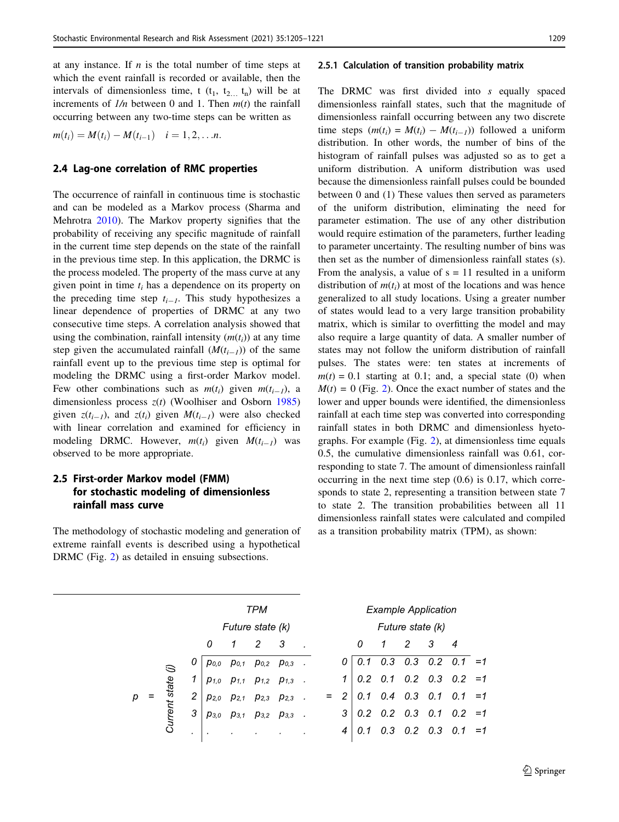<span id="page-4-0"></span>at any instance. If  $n$  is the total number of time steps at which the event rainfall is recorded or available, then the intervals of dimensionless time, t  $(t_1, t_2, t_n)$  will be at increments of  $1/n$  between 0 and 1. Then  $m(t)$  the rainfall occurring between any two-time steps can be written as

$$
m(t_i) = M(t_i) - M(t_{i-1})
$$
  $i = 1, 2, ... n$ .

#### 2.4 Lag-one correlation of RMC properties

The occurrence of rainfall in continuous time is stochastic and can be modeled as a Markov process (Sharma and Mehrotra [2010\)](#page-16-0). The Markov property signifies that the probability of receiving any specific magnitude of rainfall in the current time step depends on the state of the rainfall in the previous time step. In this application, the DRMC is the process modeled. The property of the mass curve at any given point in time  $t_i$  has a dependence on its property on the preceding time step  $t_{i-1}$ . This study hypothesizes a linear dependence of properties of DRMC at any two consecutive time steps. A correlation analysis showed that using the combination, rainfall intensity  $(m(t_i))$  at any time step given the accumulated rainfall  $(M(t_{i-1}))$  of the same rainfall event up to the previous time step is optimal for modeling the DRMC using a first-order Markov model. Few other combinations such as  $m(t_i)$  given  $m(t_{i-1})$ , a dimensionless process  $z(t)$  (Woolhiser and Osborn [1985\)](#page-16-0) given  $z(t_{i-1})$ , and  $z(t_i)$  given  $M(t_{i-1})$  were also checked with linear correlation and examined for efficiency in modeling DRMC. However,  $m(t_i)$  given  $M(t_{i-1})$  was observed to be more appropriate.

# 2.5 First-order Markov model (FMM) for stochastic modeling of dimensionless rainfall mass curve

The methodology of stochastic modeling and generation of extreme rainfall events is described using a hypothetical DRMC (Fig. [2](#page-6-0)) as detailed in ensuing subsections.

#### 2.5.1 Calculation of transition probability matrix

The DRMC was first divided into s equally spaced dimensionless rainfall states, such that the magnitude of dimensionless rainfall occurring between any two discrete time steps  $(m(t_i) = M(t_i) - M(t_{i-1}))$  followed a uniform distribution. In other words, the number of bins of the histogram of rainfall pulses was adjusted so as to get a uniform distribution. A uniform distribution was used because the dimensionless rainfall pulses could be bounded between 0 and (1) These values then served as parameters of the uniform distribution, eliminating the need for parameter estimation. The use of any other distribution would require estimation of the parameters, further leading to parameter uncertainty. The resulting number of bins was then set as the number of dimensionless rainfall states (s). From the analysis, a value of  $s = 11$  resulted in a uniform distribution of  $m(t_i)$  at most of the locations and was hence generalized to all study locations. Using a greater number of states would lead to a very large transition probability matrix, which is similar to overfitting the model and may also require a large quantity of data. A smaller number of states may not follow the uniform distribution of rainfall pulses. The states were: ten states at increments of  $m(t) = 0.1$  starting at 0.1; and, a special state (0) when  $M(t) = 0$  (Fig. [2\)](#page-6-0). Once the exact number of states and the lower and upper bounds were identified, the dimensionless rainfall at each time step was converted into corresponding rainfall states in both DRMC and dimensionless hyetographs. For example (Fig. [2](#page-6-0)), at dimensionless time equals 0.5, the cumulative dimensionless rainfall was 0.61, corresponding to state 7. The amount of dimensionless rainfall occurring in the next time step  $(0.6)$  is 0.17, which corresponds to state 2, representing a transition between state 7 to state 2. The transition probabilities between all 11 dimensionless rainfall states were calculated and compiled as a transition probability matrix (TPM), as shown:

|   |        |                      | TPM              |   |                                           |                     |  |  | <b>Example Application</b> |     |     |   |                                                                           |  |  |
|---|--------|----------------------|------------------|---|-------------------------------------------|---------------------|--|--|----------------------------|-----|-----|---|---------------------------------------------------------------------------|--|--|
|   |        |                      | Future state (k) |   |                                           |                     |  |  | Future state (k)           |     |     |   |                                                                           |  |  |
|   |        |                      | 0                | 1 |                                           | $2 \quad 3 \quad .$ |  |  |                            | 0   | 1   | 2 | - 3                                                                       |  |  |
|   | S      |                      |                  |   | $p_{0,0}$ $p_{0,1}$ $p_{0,2}$ $p_{0,3}$ . |                     |  |  |                            | 0.1 | 0.3 |   | $0.3$ $0.2$ $0.1$ =1                                                      |  |  |
|   | state  | 1                    |                  |   | $p_{1,0}$ $p_{1,1}$ $p_{1,2}$ $p_{1,3}$ . |                     |  |  |                            |     |     |   | $1 \mid 0.2 \quad 0.1 \quad 0.2 \quad 0.3 \quad 0.2 = 1$                  |  |  |
| р |        | $\mathbf{2}^{\circ}$ |                  |   | $p_{2,0}$ $p_{2,1}$ $p_{2,3}$ $p_{2,3}$ . |                     |  |  |                            |     |     |   | $= 2 \begin{array}{ccc ccc} 0.1 & 0.4 & 0.3 & 0.1 & 0.1 & =1 \end{array}$ |  |  |
|   | Currer | 3                    | $p_{3,0}$        |   | $p_{3,1}$ $p_{3,2}$ $p_{3,3}$ .           |                     |  |  |                            |     |     |   | $3   0.2 0.2 0.3 0.1 0.2 = 1$                                             |  |  |
|   |        | ٠                    |                  |   |                                           |                     |  |  | 4                          | 0.1 | 0.3 |   | $0.2$ $0.3$ $0.1$ =1                                                      |  |  |
|   |        |                      |                  |   |                                           |                     |  |  |                            |     |     |   |                                                                           |  |  |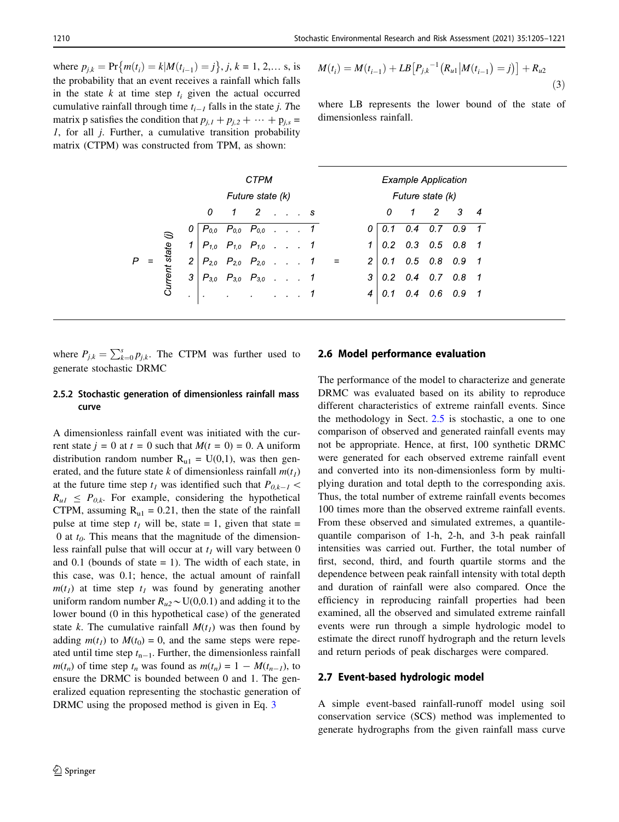<span id="page-5-0"></span>where  $p_{j,k} = \Pr\{m(t_i) = k | M(t_{i-1}) = j\}, j, k = 1, 2,... s$ , is the probability that an event receives a rainfall which falls in the state  $k$  at time step  $t_i$  given the actual occurred cumulative rainfall through time  $t_{i-1}$  falls in the state j. The matrix p satisfies the condition that  $p_{i,1} + p_{i,2} + \cdots + p_{i,s} =$  $1$ , for all  $j$ . Further, a cumulative transition probability matrix (CTPM) was constructed from TPM, as shown:

$$
M(t_i) = M(t_{i-1}) + LB[P_{j,k}^{-1}(R_{u1}|M(t_{i-1}) = j)] + R_{u2}
$$
\n(3)

where LB represents the lower bound of the state of dimensionless rainfall.

|                          | <i>CTPM</i> |                  |                                                                                                                                                                                                                                                                                                   |                                     |  |  |  |  | <b>Example Application</b> |                  |     |                            |                     |               |   |
|--------------------------|-------------|------------------|---------------------------------------------------------------------------------------------------------------------------------------------------------------------------------------------------------------------------------------------------------------------------------------------------|-------------------------------------|--|--|--|--|----------------------------|------------------|-----|----------------------------|---------------------|---------------|---|
|                          |             | Future state (k) |                                                                                                                                                                                                                                                                                                   |                                     |  |  |  |  |                            | Future state (k) |     |                            |                     |               |   |
|                          |             | 0                |                                                                                                                                                                                                                                                                                                   | $1 \quad 2 \quad . \quad . \quad s$ |  |  |  |  |                            |                  | 0   | 1                          |                     | 2 3           | 4 |
| $\odot$<br>Current state |             |                  | $P_{0,0}$ $P_{0,0}$ $P_{0,0}$ 1                                                                                                                                                                                                                                                                   |                                     |  |  |  |  |                            |                  | 0.1 | 0.4                        |                     | $0.7$ $0.9$ 1 |   |
|                          |             |                  | $1 \mid P_{1,0} \mid P_{1,0} \mid P_{1,0} \mid \ldots \mid 1$                                                                                                                                                                                                                                     |                                     |  |  |  |  |                            |                  |     | $1 \mid 0.2$ 0.3 0.5 0.8 1 |                     |               |   |
|                          |             |                  | $2   P_{2,0} P_{2,0} P_{2,0} P_{2,0} P_{3,0} P_{4,0} P_{5,0} P_{6,0} P_{7,0} P_{8,0} P_{9,0} P_{10,0} P_{10,0} P_{10,0} P_{10,0} P_{10,0} P_{10,0} P_{10,0} P_{10,0} P_{10,0} P_{10,0} P_{10,0} P_{10,0} P_{10,0} P_{10,0} P_{10,0} P_{10,0} P_{10,0} P_{10,0} P_{10,0} P_{10,0} P_{10,0} P_{10,$ |                                     |  |  |  |  |                            |                  |     | $2 \mid 0.1$ 0.5 0.8 0.9 1 |                     |               |   |
|                          |             |                  | $3 P_{3,0}$ $P_{3,0}$ $P_{3,0}$ 1                                                                                                                                                                                                                                                                 |                                     |  |  |  |  |                            |                  |     | $3 \mid 0.2$ 0.4 0.7 0.8 1 |                     |               |   |
|                          |             |                  | $\sim$                                                                                                                                                                                                                                                                                            |                                     |  |  |  |  |                            | $\overline{4}$   | 0.1 |                            | $0.4$ $0.6$ $0.9$ 1 |               |   |

where  $P_{j,k} = \sum_{k=0}^{s} p_{j,k}$ . The CTPM was further used to generate stochastic DRMC

#### 2.5.2 Stochastic generation of dimensionless rainfall mass curve

A dimensionless rainfall event was initiated with the current state  $j = 0$  at  $t = 0$  such that  $M(t = 0) = 0$ . A uniform distribution random number  $R_{u1} = U(0,1)$ , was then generated, and the future state  $k$  of dimensionless rainfall  $m(t_1)$ at the future time step  $t_1$  was identified such that  $P_{0,k-1}$  $R_{u1} \leq P_{0,k}$ . For example, considering the hypothetical CTPM, assuming  $R_{u1} = 0.21$ , then the state of the rainfall pulse at time step  $t_1$  will be, state = 1, given that state = 0 at  $t_0$ . This means that the magnitude of the dimensionless rainfall pulse that will occur at  $t_1$  will vary between 0 and 0.1 (bounds of state  $= 1$ ). The width of each state, in this case, was 0.1; hence, the actual amount of rainfall  $m(t_1)$  at time step  $t_1$  was found by generating another uniform random number  $R_{u2} \sim U(0,0.1)$  and adding it to the lower bound (0 in this hypothetical case) of the generated state k. The cumulative rainfall  $M(t_1)$  was then found by adding  $m(t_1)$  to  $M(t_0) = 0$ , and the same steps were repeated until time step  $t_{n-1}$ . Further, the dimensionless rainfall  $m(t_n)$  of time step  $t_n$  was found as  $m(t_n) = 1 - M(t_{n-1})$ , to ensure the DRMC is bounded between 0 and 1. The generalized equation representing the stochastic generation of DRMC using the proposed method is given in Eq. 3

#### 2.6 Model performance evaluation

The performance of the model to characterize and generate DRMC was evaluated based on its ability to reproduce different characteristics of extreme rainfall events. Since the methodology in Sect. [2.5](#page-4-0) is stochastic, a one to one comparison of observed and generated rainfall events may not be appropriate. Hence, at first, 100 synthetic DRMC were generated for each observed extreme rainfall event and converted into its non-dimensionless form by multiplying duration and total depth to the corresponding axis. Thus, the total number of extreme rainfall events becomes 100 times more than the observed extreme rainfall events. From these observed and simulated extremes, a quantilequantile comparison of 1-h, 2-h, and 3-h peak rainfall intensities was carried out. Further, the total number of first, second, third, and fourth quartile storms and the dependence between peak rainfall intensity with total depth and duration of rainfall were also compared. Once the efficiency in reproducing rainfall properties had been examined, all the observed and simulated extreme rainfall events were run through a simple hydrologic model to estimate the direct runoff hydrograph and the return levels and return periods of peak discharges were compared.

#### 2.7 Event-based hydrologic model

A simple event-based rainfall-runoff model using soil conservation service (SCS) method was implemented to generate hydrographs from the given rainfall mass curve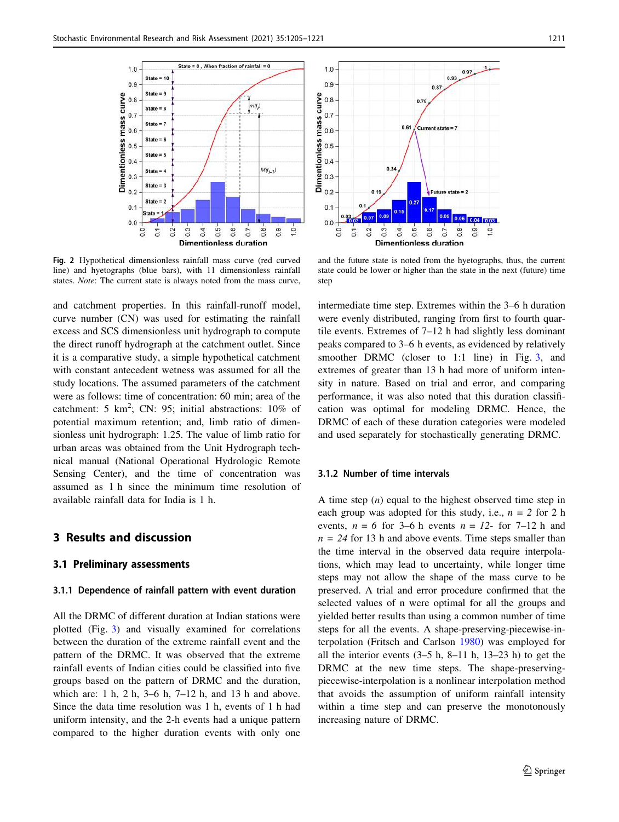<span id="page-6-0"></span>

Fig. 2 Hypothetical dimensionless rainfall mass curve (red curved line) and hyetographs (blue bars), with 11 dimensionless rainfall states. Note: The current state is always noted from the mass curve,

and catchment properties. In this rainfall-runoff model, curve number (CN) was used for estimating the rainfall excess and SCS dimensionless unit hydrograph to compute the direct runoff hydrograph at the catchment outlet. Since it is a comparative study, a simple hypothetical catchment with constant antecedent wetness was assumed for all the study locations. The assumed parameters of the catchment were as follows: time of concentration: 60 min; area of the catchment: 5  $km^2$ ; CN: 95; initial abstractions: 10% of potential maximum retention; and, limb ratio of dimensionless unit hydrograph: 1.25. The value of limb ratio for urban areas was obtained from the Unit Hydrograph technical manual (National Operational Hydrologic Remote Sensing Center), and the time of concentration was assumed as 1 h since the minimum time resolution of available rainfall data for India is 1 h.

# 3 Results and discussion

#### 3.1 Preliminary assessments

#### 3.1.1 Dependence of rainfall pattern with event duration

All the DRMC of different duration at Indian stations were plotted (Fig. [3](#page-7-0)) and visually examined for correlations between the duration of the extreme rainfall event and the pattern of the DRMC. It was observed that the extreme rainfall events of Indian cities could be classified into five groups based on the pattern of DRMC and the duration, which are: 1 h, 2 h, 3–6 h, 7–12 h, and 13 h and above. Since the data time resolution was 1 h, events of 1 h had uniform intensity, and the 2-h events had a unique pattern compared to the higher duration events with only one



and the future state is noted from the hyetographs, thus, the current state could be lower or higher than the state in the next (future) time step

intermediate time step. Extremes within the 3–6 h duration were evenly distributed, ranging from first to fourth quartile events. Extremes of 7–12 h had slightly less dominant peaks compared to 3–6 h events, as evidenced by relatively smoother DRMC (closer to 1:1 line) in Fig. [3](#page-7-0), and extremes of greater than 13 h had more of uniform intensity in nature. Based on trial and error, and comparing performance, it was also noted that this duration classification was optimal for modeling DRMC. Hence, the DRMC of each of these duration categories were modeled and used separately for stochastically generating DRMC.

#### 3.1.2 Number of time intervals

A time step  $(n)$  equal to the highest observed time step in each group was adopted for this study, i.e.,  $n=2$  for 2 h events,  $n = 6$  for 3–6 h events  $n = 12$ - for 7–12 h and  $n = 24$  for 13 h and above events. Time steps smaller than the time interval in the observed data require interpolations, which may lead to uncertainty, while longer time steps may not allow the shape of the mass curve to be preserved. A trial and error procedure confirmed that the selected values of n were optimal for all the groups and yielded better results than using a common number of time steps for all the events. A shape-preserving-piecewise-interpolation (Fritsch and Carlson [1980](#page-15-0)) was employed for all the interior events  $(3-5 h, 8-11 h, 13-23 h)$  to get the DRMC at the new time steps. The shape-preservingpiecewise-interpolation is a nonlinear interpolation method that avoids the assumption of uniform rainfall intensity within a time step and can preserve the monotonously increasing nature of DRMC.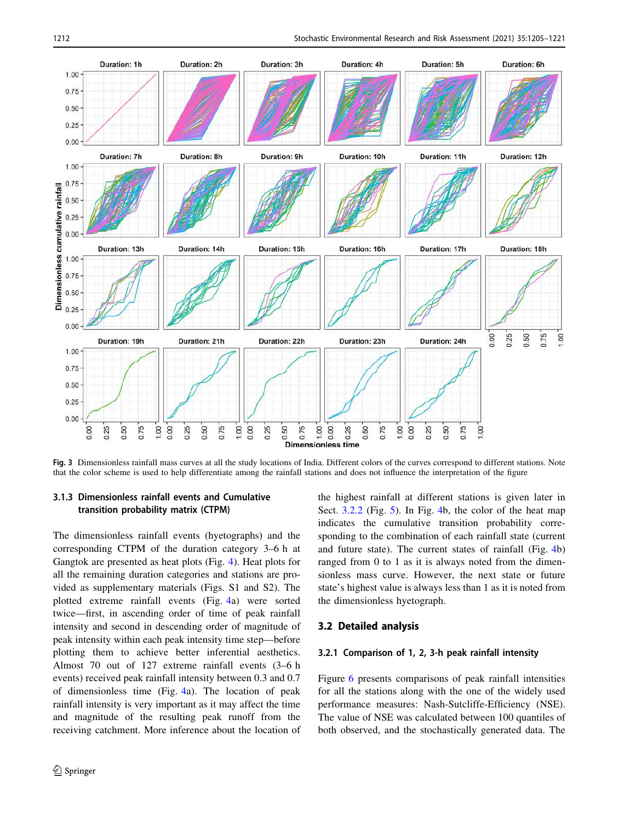<span id="page-7-0"></span>

Fig. 3 Dimensionless rainfall mass curves at all the study locations of India. Different colors of the curves correspond to different stations. Note that the color scheme is used to help differentiate among the rainfall stations and does not influence the interpretation of the figure

# 3.1.3 Dimensionless rainfall events and Cumulative transition probability matrix (CTPM)

The dimensionless rainfall events (hyetographs) and the corresponding CTPM of the duration category 3–6 h at Gangtok are presented as heat plots (Fig. [4\)](#page-8-0). Heat plots for all the remaining duration categories and stations are provided as supplementary materials (Figs. S1 and S2). The plotted extreme rainfall events (Fig. [4a](#page-8-0)) were sorted twice—first, in ascending order of time of peak rainfall intensity and second in descending order of magnitude of peak intensity within each peak intensity time step—before plotting them to achieve better inferential aesthetics. Almost 70 out of 127 extreme rainfall events (3–6 h events) received peak rainfall intensity between 0.3 and 0.7 of dimensionless time (Fig. [4](#page-8-0)a). The location of peak rainfall intensity is very important as it may affect the time and magnitude of the resulting peak runoff from the receiving catchment. More inference about the location of the highest rainfall at different stations is given later in Sect. [3.2.2](#page-8-0) (Fig. [5](#page-9-0)). In Fig. [4](#page-8-0)b, the color of the heat map indicates the cumulative transition probability corresponding to the combination of each rainfall state (current and future state). The current states of rainfall (Fig. [4b](#page-8-0)) ranged from 0 to 1 as it is always noted from the dimensionless mass curve. However, the next state or future state's highest value is always less than 1 as it is noted from the dimensionless hyetograph.

### 3.2 Detailed analysis

#### 3.2.1 Comparison of 1, 2, 3-h peak rainfall intensity

Figure [6](#page-10-0) presents comparisons of peak rainfall intensities for all the stations along with the one of the widely used performance measures: Nash-Sutcliffe-Efficiency (NSE). The value of NSE was calculated between 100 quantiles of both observed, and the stochastically generated data. The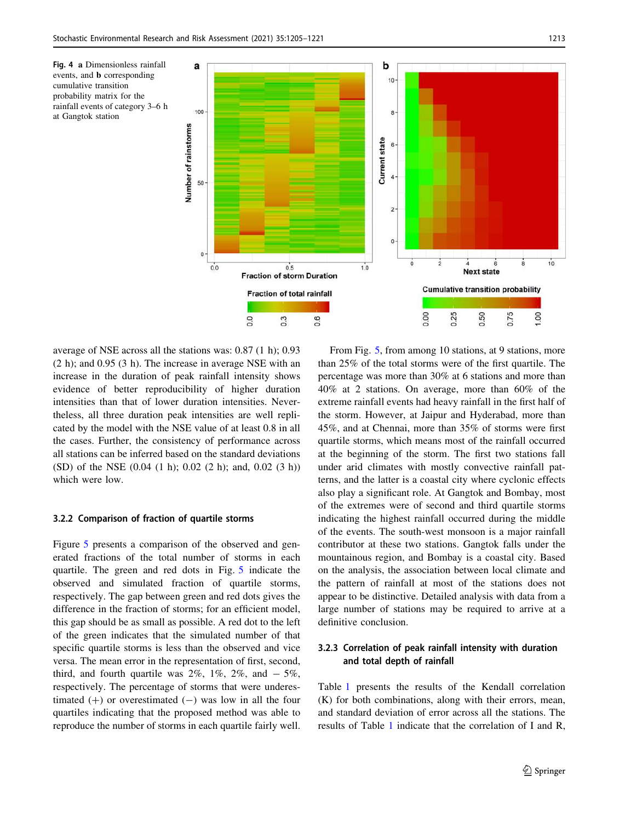<span id="page-8-0"></span>

average of NSE across all the stations was: 0.87 (1 h); 0.93 (2 h); and 0.95 (3 h). The increase in average NSE with an increase in the duration of peak rainfall intensity shows evidence of better reproducibility of higher duration intensities than that of lower duration intensities. Nevertheless, all three duration peak intensities are well replicated by the model with the NSE value of at least 0.8 in all the cases. Further, the consistency of performance across all stations can be inferred based on the standard deviations (SD) of the NSE (0.04 (1 h); 0.02 (2 h); and, 0.02 (3 h)) which were low.

#### 3.2.2 Comparison of fraction of quartile storms

Figure [5](#page-9-0) presents a comparison of the observed and generated fractions of the total number of storms in each quartile. The green and red dots in Fig. [5](#page-9-0) indicate the observed and simulated fraction of quartile storms, respectively. The gap between green and red dots gives the difference in the fraction of storms; for an efficient model, this gap should be as small as possible. A red dot to the left of the green indicates that the simulated number of that specific quartile storms is less than the observed and vice versa. The mean error in the representation of first, second, third, and fourth quartile was  $2\%$ ,  $1\%$ ,  $2\%$ , and  $-5\%$ , respectively. The percentage of storms that were underestimated  $(+)$  or overestimated  $(-)$  was low in all the four quartiles indicating that the proposed method was able to reproduce the number of storms in each quartile fairly well.

From Fig. [5,](#page-9-0) from among 10 stations, at 9 stations, more than 25% of the total storms were of the first quartile. The percentage was more than 30% at 6 stations and more than 40% at 2 stations. On average, more than 60% of the extreme rainfall events had heavy rainfall in the first half of the storm. However, at Jaipur and Hyderabad, more than 45%, and at Chennai, more than 35% of storms were first quartile storms, which means most of the rainfall occurred at the beginning of the storm. The first two stations fall under arid climates with mostly convective rainfall patterns, and the latter is a coastal city where cyclonic effects also play a significant role. At Gangtok and Bombay, most of the extremes were of second and third quartile storms indicating the highest rainfall occurred during the middle of the events. The south-west monsoon is a major rainfall contributor at these two stations. Gangtok falls under the mountainous region, and Bombay is a coastal city. Based on the analysis, the association between local climate and the pattern of rainfall at most of the stations does not appear to be distinctive. Detailed analysis with data from a large number of stations may be required to arrive at a definitive conclusion.

# 3.2.3 Correlation of peak rainfall intensity with duration and total depth of rainfall

Table [1](#page-10-0) presents the results of the Kendall correlation (K) for both combinations, along with their errors, mean, and standard deviation of error across all the stations. The results of Table [1](#page-10-0) indicate that the correlation of I and R,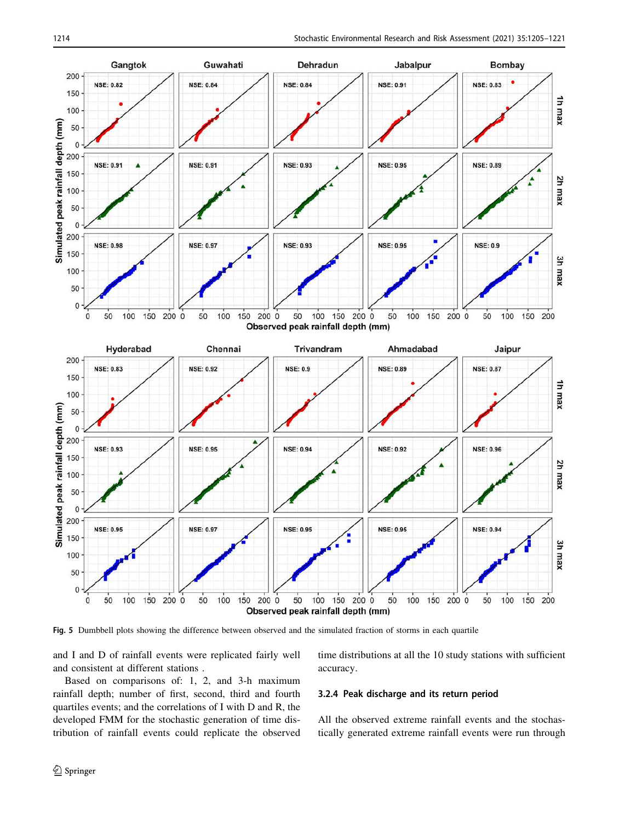<span id="page-9-0"></span>

Fig. 5 Dumbbell plots showing the difference between observed and the simulated fraction of storms in each quartile

and I and D of rainfall events were replicated fairly well and consistent at different stations .

Based on comparisons of: 1, 2, and 3-h maximum rainfall depth; number of first, second, third and fourth quartiles events; and the correlations of I with D and R, the developed FMM for the stochastic generation of time distribution of rainfall events could replicate the observed time distributions at all the 10 study stations with sufficient accuracy.

### 3.2.4 Peak discharge and its return period

All the observed extreme rainfall events and the stochastically generated extreme rainfall events were run through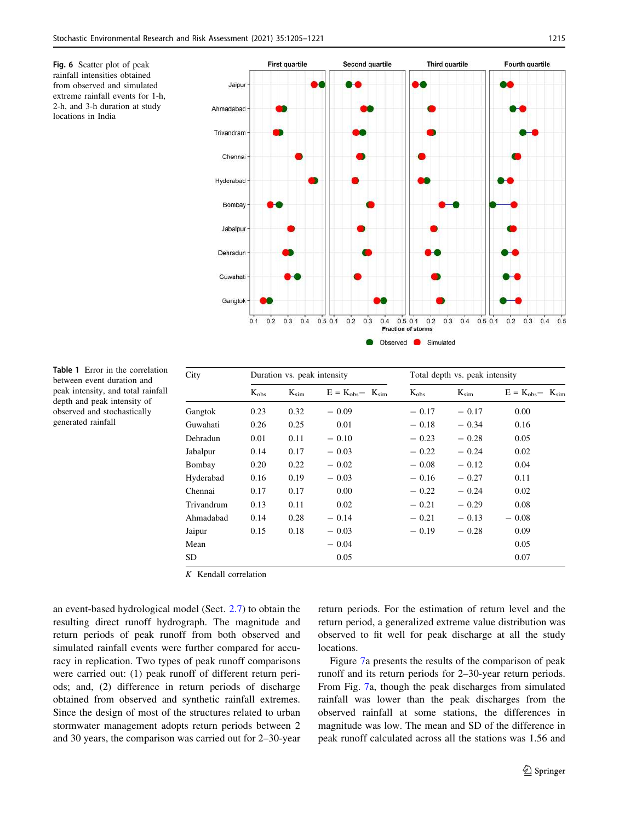<span id="page-10-0"></span>



Table 1 Error in the correlation between event duration and peak intensity, and total rainfall depth and peak intensity of observed and stochastically generated rainfall

| City       |           | Duration vs. peak intensity |                         |           | Total depth vs. peak intensity |                         |  |  |  |  |  |
|------------|-----------|-----------------------------|-------------------------|-----------|--------------------------------|-------------------------|--|--|--|--|--|
|            | $K_{obs}$ | $K_{sim}$                   | $E = K_{obs} - K_{sim}$ | $K_{obs}$ | $K_{sim}$                      | $E = K_{obs} - K_{sim}$ |  |  |  |  |  |
| Gangtok    | 0.23      | 0.32                        | $-0.09$                 | $-0.17$   | $-0.17$                        | 0.00                    |  |  |  |  |  |
| Guwahati   | 0.26      | 0.25                        | 0.01                    | $-0.18$   | $-0.34$                        | 0.16                    |  |  |  |  |  |
| Dehradun   | 0.01      | 0.11                        | $-0.10$                 | $-0.23$   | $-0.28$                        | 0.05                    |  |  |  |  |  |
| Jabalpur   | 0.14      | 0.17                        | $-0.03$                 | $-0.22$   | $-0.24$                        | 0.02                    |  |  |  |  |  |
| Bombay     | 0.20      | 0.22                        | $-0.02$                 | $-0.08$   | $-0.12$                        | 0.04                    |  |  |  |  |  |
| Hyderabad  | 0.16      | 0.19                        | $-0.03$                 | $-0.16$   | $-0.27$                        | 0.11                    |  |  |  |  |  |
| Chennai    | 0.17      | 0.17                        | 0.00                    | $-0.22$   | $-0.24$                        | 0.02                    |  |  |  |  |  |
| Trivandrum | 0.13      | 0.11                        | 0.02                    | $-0.21$   | $-0.29$                        | 0.08                    |  |  |  |  |  |
| Ahmadabad  | 0.14      | 0.28                        | $-0.14$                 | $-0.21$   | $-0.13$                        | $-0.08$                 |  |  |  |  |  |
| Jaipur     | 0.15      | 0.18                        | $-0.03$                 | $-0.19$   | $-0.28$                        | 0.09                    |  |  |  |  |  |
| Mean       |           |                             | $-0.04$                 |           |                                | 0.05                    |  |  |  |  |  |
| SD         |           |                             | 0.05                    |           |                                | 0.07                    |  |  |  |  |  |

 $K$  Kendall correlation

an event-based hydrological model (Sect. [2.7](#page-5-0)) to obtain the resulting direct runoff hydrograph. The magnitude and return periods of peak runoff from both observed and simulated rainfall events were further compared for accuracy in replication. Two types of peak runoff comparisons were carried out: (1) peak runoff of different return periods; and, (2) difference in return periods of discharge obtained from observed and synthetic rainfall extremes. Since the design of most of the structures related to urban stormwater management adopts return periods between 2 and 30 years, the comparison was carried out for 2–30-year return periods. For the estimation of return level and the return period, a generalized extreme value distribution was observed to fit well for peak discharge at all the study locations.

Figure [7a](#page-11-0) presents the results of the comparison of peak runoff and its return periods for 2–30-year return periods. From Fig. [7a](#page-11-0), though the peak discharges from simulated rainfall was lower than the peak discharges from the observed rainfall at some stations, the differences in magnitude was low. The mean and SD of the difference in peak runoff calculated across all the stations was 1.56 and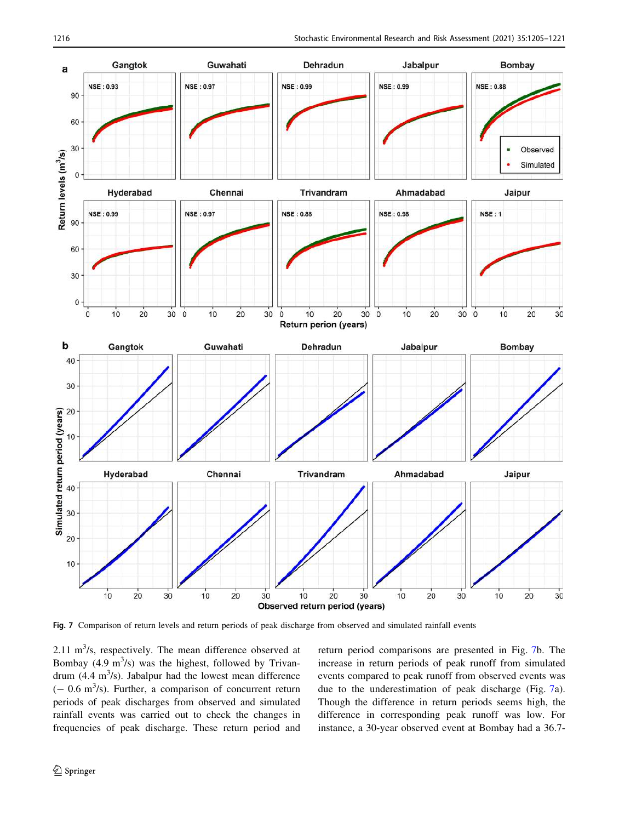<span id="page-11-0"></span>

Fig. 7 Comparison of return levels and return periods of peak discharge from observed and simulated rainfall events

 $2.11 \text{ m}^3$ /s, respectively. The mean difference observed at Bombay  $(4.9 \text{ m}^3/\text{s})$  was the highest, followed by Trivandrum  $(4.4 \text{ m}^3/\text{s})$ . Jabalpur had the lowest mean difference  $(-0.6 \text{ m}^3/\text{s})$ . Further, a comparison of concurrent return periods of peak discharges from observed and simulated rainfall events was carried out to check the changes in frequencies of peak discharge. These return period and

return period comparisons are presented in Fig. 7b. The increase in return periods of peak runoff from simulated events compared to peak runoff from observed events was due to the underestimation of peak discharge (Fig. 7a). Though the difference in return periods seems high, the difference in corresponding peak runoff was low. For instance, a 30-year observed event at Bombay had a 36.7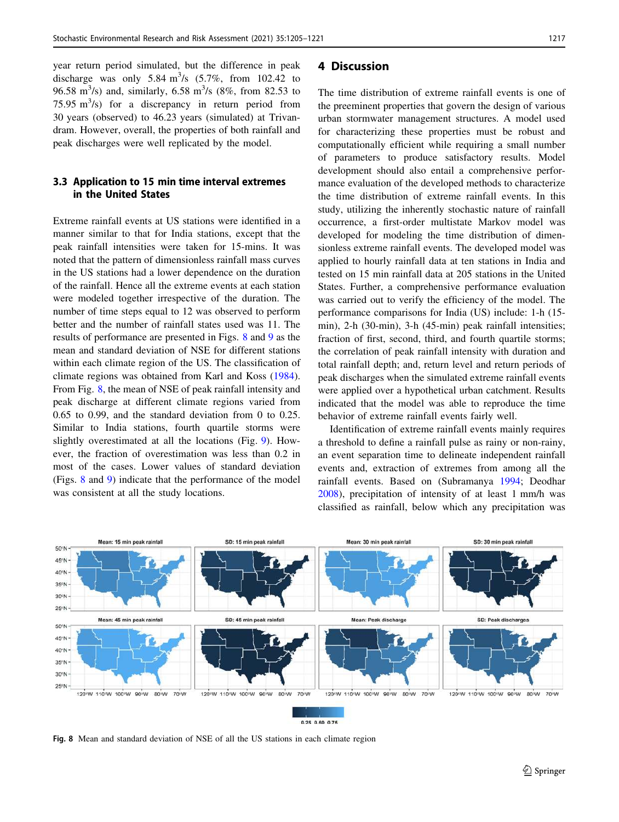year return period simulated, but the difference in peak discharge was only  $5.84 \text{ m}^3\text{/s}$  (5.7%, from 102.42 to 96.58 m<sup>3</sup>/s) and, similarly, 6.58 m<sup>3</sup>/s (8%, from 82.53 to 75.95  $\text{m}^3$ /s) for a discrepancy in return period from 30 years (observed) to 46.23 years (simulated) at Trivandram. However, overall, the properties of both rainfall and peak discharges were well replicated by the model.

# 3.3 Application to 15 min time interval extremes in the United States

Extreme rainfall events at US stations were identified in a manner similar to that for India stations, except that the peak rainfall intensities were taken for 15-mins. It was noted that the pattern of dimensionless rainfall mass curves in the US stations had a lower dependence on the duration of the rainfall. Hence all the extreme events at each station were modeled together irrespective of the duration. The number of time steps equal to 12 was observed to perform better and the number of rainfall states used was 11. The results of performance are presented in Figs. 8 and [9](#page-13-0) as the mean and standard deviation of NSE for different stations within each climate region of the US. The classification of climate regions was obtained from Karl and Koss [\(1984](#page-15-0)). From Fig. 8, the mean of NSE of peak rainfall intensity and peak discharge at different climate regions varied from 0.65 to 0.99, and the standard deviation from 0 to 0.25. Similar to India stations, fourth quartile storms were slightly overestimated at all the locations (Fig. [9](#page-13-0)). However, the fraction of overestimation was less than 0.2 in most of the cases. Lower values of standard deviation (Figs. 8 and [9](#page-13-0)) indicate that the performance of the model was consistent at all the study locations.

# 4 Discussion

The time distribution of extreme rainfall events is one of the preeminent properties that govern the design of various urban stormwater management structures. A model used for characterizing these properties must be robust and computationally efficient while requiring a small number of parameters to produce satisfactory results. Model development should also entail a comprehensive performance evaluation of the developed methods to characterize the time distribution of extreme rainfall events. In this study, utilizing the inherently stochastic nature of rainfall occurrence, a first-order multistate Markov model was developed for modeling the time distribution of dimensionless extreme rainfall events. The developed model was applied to hourly rainfall data at ten stations in India and tested on 15 min rainfall data at 205 stations in the United States. Further, a comprehensive performance evaluation was carried out to verify the efficiency of the model. The performance comparisons for India (US) include: 1-h (15 min), 2-h (30-min), 3-h (45-min) peak rainfall intensities; fraction of first, second, third, and fourth quartile storms; the correlation of peak rainfall intensity with duration and total rainfall depth; and, return level and return periods of peak discharges when the simulated extreme rainfall events were applied over a hypothetical urban catchment. Results indicated that the model was able to reproduce the time behavior of extreme rainfall events fairly well.

Identification of extreme rainfall events mainly requires a threshold to define a rainfall pulse as rainy or non-rainy, an event separation time to delineate independent rainfall events and, extraction of extremes from among all the rainfall events. Based on (Subramanya [1994;](#page-16-0) Deodhar [2008](#page-15-0)), precipitation of intensity of at least 1 mm/h was classified as rainfall, below which any precipitation was



Fig. 8 Mean and standard deviation of NSE of all the US stations in each climate region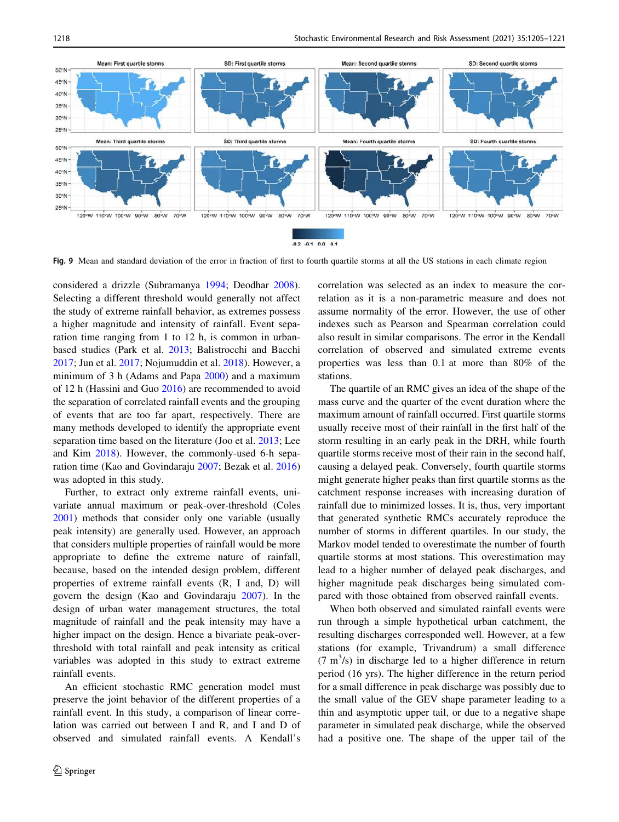<span id="page-13-0"></span>

Fig. 9 Mean and standard deviation of the error in fraction of first to fourth quartile storms at all the US stations in each climate region

considered a drizzle (Subramanya [1994](#page-16-0); Deodhar [2008](#page-15-0)). Selecting a different threshold would generally not affect the study of extreme rainfall behavior, as extremes possess a higher magnitude and intensity of rainfall. Event separation time ranging from 1 to 12 h, is common in urbanbased studies (Park et al. [2013](#page-16-0); Balistrocchi and Bacchi [2017;](#page-15-0) Jun et al. [2017;](#page-15-0) Nojumuddin et al. [2018\)](#page-16-0). However, a minimum of 3 h (Adams and Papa [2000\)](#page-15-0) and a maximum of 12 h (Hassini and Guo [2016\)](#page-15-0) are recommended to avoid the separation of correlated rainfall events and the grouping of events that are too far apart, respectively. There are many methods developed to identify the appropriate event separation time based on the literature (Joo et al. [2013;](#page-15-0) Lee and Kim [2018\)](#page-16-0). However, the commonly-used 6-h separation time (Kao and Govindaraju [2007](#page-15-0); Bezak et al. [2016\)](#page-15-0) was adopted in this study.

Further, to extract only extreme rainfall events, univariate annual maximum or peak-over-threshold (Coles [2001\)](#page-15-0) methods that consider only one variable (usually peak intensity) are generally used. However, an approach that considers multiple properties of rainfall would be more appropriate to define the extreme nature of rainfall, because, based on the intended design problem, different properties of extreme rainfall events (R, I and, D) will govern the design (Kao and Govindaraju [2007](#page-15-0)). In the design of urban water management structures, the total magnitude of rainfall and the peak intensity may have a higher impact on the design. Hence a bivariate peak-overthreshold with total rainfall and peak intensity as critical variables was adopted in this study to extract extreme rainfall events.

An efficient stochastic RMC generation model must preserve the joint behavior of the different properties of a rainfall event. In this study, a comparison of linear correlation was carried out between I and R, and I and D of observed and simulated rainfall events. A Kendall's correlation was selected as an index to measure the correlation as it is a non-parametric measure and does not assume normality of the error. However, the use of other indexes such as Pearson and Spearman correlation could also result in similar comparisons. The error in the Kendall correlation of observed and simulated extreme events properties was less than 0.1 at more than 80% of the stations.

The quartile of an RMC gives an idea of the shape of the mass curve and the quarter of the event duration where the maximum amount of rainfall occurred. First quartile storms usually receive most of their rainfall in the first half of the storm resulting in an early peak in the DRH, while fourth quartile storms receive most of their rain in the second half, causing a delayed peak. Conversely, fourth quartile storms might generate higher peaks than first quartile storms as the catchment response increases with increasing duration of rainfall due to minimized losses. It is, thus, very important that generated synthetic RMCs accurately reproduce the number of storms in different quartiles. In our study, the Markov model tended to overestimate the number of fourth quartile storms at most stations. This overestimation may lead to a higher number of delayed peak discharges, and higher magnitude peak discharges being simulated compared with those obtained from observed rainfall events.

When both observed and simulated rainfall events were run through a simple hypothetical urban catchment, the resulting discharges corresponded well. However, at a few stations (for example, Trivandrum) a small difference  $(7 \text{ m}^3/\text{s})$  in discharge led to a higher difference in return period (16 yrs). The higher difference in the return period for a small difference in peak discharge was possibly due to the small value of the GEV shape parameter leading to a thin and asymptotic upper tail, or due to a negative shape parameter in simulated peak discharge, while the observed had a positive one. The shape of the upper tail of the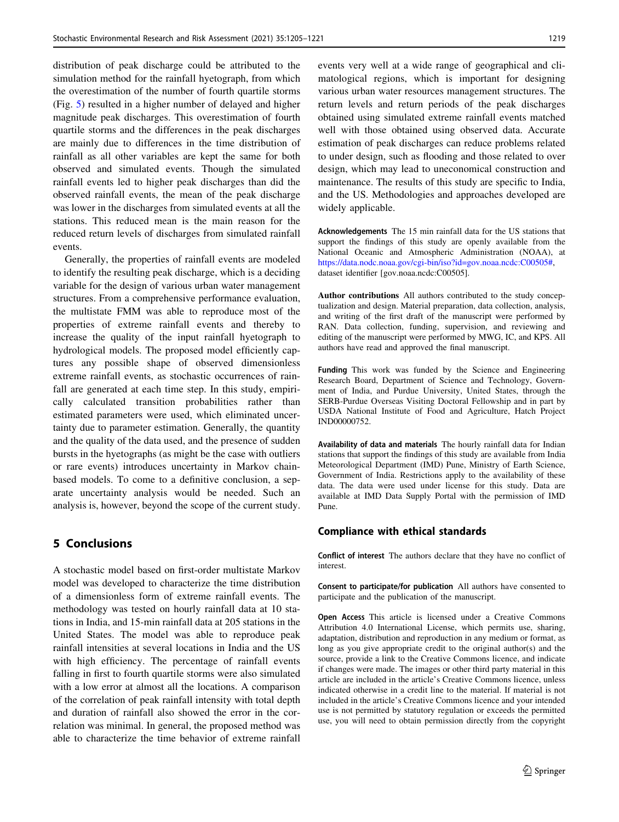distribution of peak discharge could be attributed to the simulation method for the rainfall hyetograph, from which the overestimation of the number of fourth quartile storms (Fig. [5](#page-9-0)) resulted in a higher number of delayed and higher

magnitude peak discharges. This overestimation of fourth quartile storms and the differences in the peak discharges are mainly due to differences in the time distribution of rainfall as all other variables are kept the same for both observed and simulated events. Though the simulated rainfall events led to higher peak discharges than did the observed rainfall events, the mean of the peak discharge was lower in the discharges from simulated events at all the stations. This reduced mean is the main reason for the reduced return levels of discharges from simulated rainfall events.

Generally, the properties of rainfall events are modeled to identify the resulting peak discharge, which is a deciding variable for the design of various urban water management structures. From a comprehensive performance evaluation, the multistate FMM was able to reproduce most of the properties of extreme rainfall events and thereby to increase the quality of the input rainfall hyetograph to hydrological models. The proposed model efficiently captures any possible shape of observed dimensionless extreme rainfall events, as stochastic occurrences of rainfall are generated at each time step. In this study, empirically calculated transition probabilities rather than estimated parameters were used, which eliminated uncertainty due to parameter estimation. Generally, the quantity and the quality of the data used, and the presence of sudden bursts in the hyetographs (as might be the case with outliers or rare events) introduces uncertainty in Markov chainbased models. To come to a definitive conclusion, a separate uncertainty analysis would be needed. Such an analysis is, however, beyond the scope of the current study.

# 5 Conclusions

A stochastic model based on first-order multistate Markov model was developed to characterize the time distribution of a dimensionless form of extreme rainfall events. The methodology was tested on hourly rainfall data at 10 stations in India, and 15-min rainfall data at 205 stations in the United States. The model was able to reproduce peak rainfall intensities at several locations in India and the US with high efficiency. The percentage of rainfall events falling in first to fourth quartile storms were also simulated with a low error at almost all the locations. A comparison of the correlation of peak rainfall intensity with total depth and duration of rainfall also showed the error in the correlation was minimal. In general, the proposed method was able to characterize the time behavior of extreme rainfall events very well at a wide range of geographical and climatological regions, which is important for designing various urban water resources management structures. The return levels and return periods of the peak discharges obtained using simulated extreme rainfall events matched well with those obtained using observed data. Accurate estimation of peak discharges can reduce problems related to under design, such as flooding and those related to over design, which may lead to uneconomical construction and maintenance. The results of this study are specific to India, and the US. Methodologies and approaches developed are widely applicable.

Acknowledgements The 15 min rainfall data for the US stations that support the findings of this study are openly available from the National Oceanic and Atmospheric Administration (NOAA), at <https://data.nodc.noaa.gov/cgi-bin/iso?id=gov.noaa.ncdc:C00505#>, dataset identifier [gov.noaa.ncdc:C00505].

Author contributions All authors contributed to the study conceptualization and design. Material preparation, data collection, analysis, and writing of the first draft of the manuscript were performed by RAN. Data collection, funding, supervision, and reviewing and editing of the manuscript were performed by MWG, IC, and KPS. All authors have read and approved the final manuscript.

Funding This work was funded by the Science and Engineering Research Board, Department of Science and Technology, Government of India, and Purdue University, United States, through the SERB-Purdue Overseas Visiting Doctoral Fellowship and in part by USDA National Institute of Food and Agriculture, Hatch Project IND00000752.

Availability of data and materials The hourly rainfall data for Indian stations that support the findings of this study are available from India Meteorological Department (IMD) Pune, Ministry of Earth Science, Government of India. Restrictions apply to the availability of these data. The data were used under license for this study. Data are available at IMD Data Supply Portal with the permission of IMD Pune.

### Compliance with ethical standards

Conflict of interest The authors declare that they have no conflict of interest.

Consent to participate/for publication All authors have consented to participate and the publication of the manuscript.

Open Access This article is licensed under a Creative Commons Attribution 4.0 International License, which permits use, sharing, adaptation, distribution and reproduction in any medium or format, as long as you give appropriate credit to the original author(s) and the source, provide a link to the Creative Commons licence, and indicate if changes were made. The images or other third party material in this article are included in the article's Creative Commons licence, unless indicated otherwise in a credit line to the material. If material is not included in the article's Creative Commons licence and your intended use is not permitted by statutory regulation or exceeds the permitted use, you will need to obtain permission directly from the copyright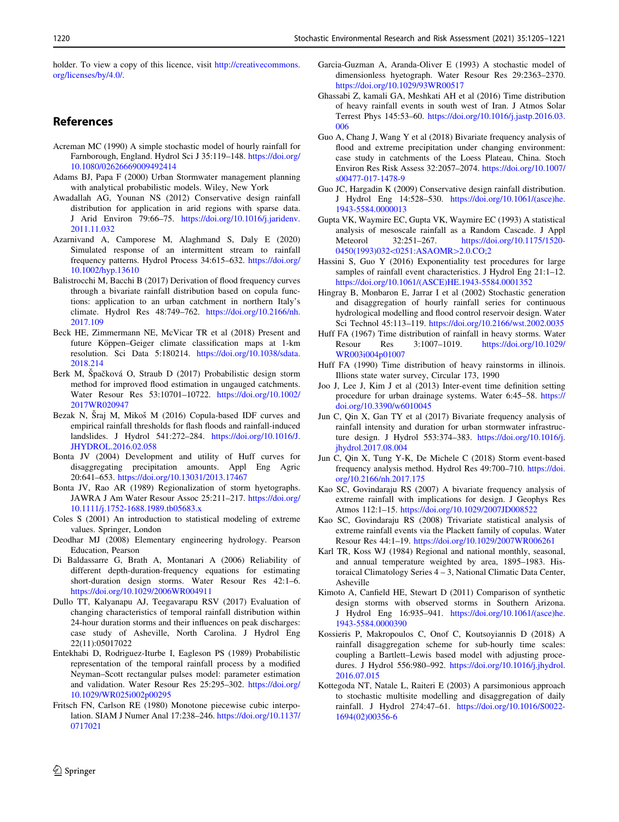<span id="page-15-0"></span>holder. To view a copy of this licence, visit [http://creativecommons.](http://creativecommons.org/licenses/by/4.0/) [org/licenses/by/4.0/.](http://creativecommons.org/licenses/by/4.0/)

# References

- Acreman MC (1990) A simple stochastic model of hourly rainfall for Farnborough, England. Hydrol Sci J 35:119–148. [https://doi.org/](https://doi.org/10.1080/02626669009492414) [10.1080/02626669009492414](https://doi.org/10.1080/02626669009492414)
- Adams BJ, Papa F (2000) Urban Stormwater management planning with analytical probabilistic models. Wiley, New York
- Awadallah AG, Younan NS (2012) Conservative design rainfall distribution for application in arid regions with sparse data. J Arid Environ 79:66–75. [https://doi.org/10.1016/j.jaridenv.](https://doi.org/10.1016/j.jaridenv.2011.11.032) [2011.11.032](https://doi.org/10.1016/j.jaridenv.2011.11.032)
- Azarnivand A, Camporese M, Alaghmand S, Daly E (2020) Simulated response of an intermittent stream to rainfall frequency patterns. Hydrol Process 34:615–632. [https://doi.org/](https://doi.org/10.1002/hyp.13610) [10.1002/hyp.13610](https://doi.org/10.1002/hyp.13610)
- Balistrocchi M, Bacchi B (2017) Derivation of flood frequency curves through a bivariate rainfall distribution based on copula functions: application to an urban catchment in northern Italy's climate. Hydrol Res 48:749–762. [https://doi.org/10.2166/nh.](https://doi.org/10.2166/nh.2017.109) [2017.109](https://doi.org/10.2166/nh.2017.109)
- Beck HE, Zimmermann NE, McVicar TR et al (2018) Present and future Köppen–Geiger climate classification maps at 1-km resolution. Sci Data 5:180214. [https://doi.org/10.1038/sdata.](https://doi.org/10.1038/sdata.2018.214) [2018.214](https://doi.org/10.1038/sdata.2018.214)
- Berk M, Špačková O, Straub D (2017) Probabilistic design storm method for improved flood estimation in ungauged catchments. Water Resour Res 53:10701–10722. [https://doi.org/10.1002/](https://doi.org/10.1002/2017WR020947) [2017WR020947](https://doi.org/10.1002/2017WR020947)
- Bezak N, Šraj M, Mikoš M (2016) Copula-based IDF curves and empirical rainfall thresholds for flash floods and rainfall-induced landslides. J Hydrol 541:272–284. [https://doi.org/10.1016/J.](https://doi.org/10.1016/J.JHYDROL.2016.02.058) [JHYDROL.2016.02.058](https://doi.org/10.1016/J.JHYDROL.2016.02.058)
- Bonta JV (2004) Development and utility of Huff curves for disaggregating precipitation amounts. Appl Eng Agric 20:641–653. <https://doi.org/10.13031/2013.17467>
- Bonta JV, Rao AR (1989) Regionalization of storm hyetographs. JAWRA J Am Water Resour Assoc 25:211–217. [https://doi.org/](https://doi.org/10.1111/j.1752-1688.1989.tb05683.x) [10.1111/j.1752-1688.1989.tb05683.x](https://doi.org/10.1111/j.1752-1688.1989.tb05683.x)
- Coles S (2001) An introduction to statistical modeling of extreme values. Springer, London
- Deodhar MJ (2008) Elementary engineering hydrology. Pearson Education, Pearson
- Di Baldassarre G, Brath A, Montanari A (2006) Reliability of different depth-duration-frequency equations for estimating short-duration design storms. Water Resour Res 42:1–6. <https://doi.org/10.1029/2006WR004911>
- Dullo TT, Kalyanapu AJ, Teegavarapu RSV (2017) Evaluation of changing characteristics of temporal rainfall distribution within 24-hour duration storms and their influences on peak discharges: case study of Asheville, North Carolina. J Hydrol Eng 22(11):05017022
- Entekhabi D, Rodriguez-Iturbe I, Eagleson PS (1989) Probabilistic representation of the temporal rainfall process by a modified Neyman–Scott rectangular pulses model: parameter estimation and validation. Water Resour Res 25:295–302. [https://doi.org/](https://doi.org/10.1029/WR025i002p00295) [10.1029/WR025i002p00295](https://doi.org/10.1029/WR025i002p00295)
- Fritsch FN, Carlson RE (1980) Monotone piecewise cubic interpolation. SIAM J Numer Anal 17:238–246. [https://doi.org/10.1137/](https://doi.org/10.1137/0717021) [0717021](https://doi.org/10.1137/0717021)
- Garcia-Guzman A, Aranda-Oliver E (1993) A stochastic model of dimensionless hyetograph. Water Resour Res 29:2363–2370. <https://doi.org/10.1029/93WR00517>
- Ghassabi Z, kamali GA, Meshkati AH et al (2016) Time distribution of heavy rainfall events in south west of Iran. J Atmos Solar Terrest Phys 145:53–60. [https://doi.org/10.1016/j.jastp.2016.03.](https://doi.org/10.1016/j.jastp.2016.03.006) [006](https://doi.org/10.1016/j.jastp.2016.03.006)
- Guo A, Chang J, Wang Y et al (2018) Bivariate frequency analysis of flood and extreme precipitation under changing environment: case study in catchments of the Loess Plateau, China. Stoch Environ Res Risk Assess 32:2057–2074. [https://doi.org/10.1007/](https://doi.org/10.1007/s00477-017-1478-9) [s00477-017-1478-9](https://doi.org/10.1007/s00477-017-1478-9)
- Guo JC, Hargadin K (2009) Conservative design rainfall distribution. J Hydrol Eng 14:528–530. [https://doi.org/10.1061/\(asce\)he.](https://doi.org/10.1061/(asce)he.1943-5584.0000013) [1943-5584.0000013](https://doi.org/10.1061/(asce)he.1943-5584.0000013)
- Gupta VK, Waymire EC, Gupta VK, Waymire EC (1993) A statistical analysis of mesoscale rainfall as a Random Cascade. J Appl Meteorol 32:251–267. [https://doi.org/10.1175/1520-](https://doi.org/10.1175/1520-0450(1993)032<0251:ASAOMR>2.0.CO;2) 0450(1993)032<[0251:ASAOMR](https://doi.org/10.1175/1520-0450(1993)032<0251:ASAOMR>2.0.CO;2)>2.0.CO;2
- Hassini S, Guo Y (2016) Exponentiality test procedures for large samples of rainfall event characteristics. J Hydrol Eng 21:1–12. [https://doi.org/10.1061/\(ASCE\)HE.1943-5584.0001352](https://doi.org/10.1061/(ASCE)HE.1943-5584.0001352)
- Hingray B, Monbaron E, Jarrar I et al (2002) Stochastic generation and disaggregation of hourly rainfall series for continuous hydrological modelling and flood control reservoir design. Water Sci Technol 45:113–119. <https://doi.org/10.2166/wst.2002.0035>
- Huff FA (1967) Time distribution of rainfall in heavy storms. Water Resour Res 3:1007–1019. [https://doi.org/10.1029/](https://doi.org/10.1029/WR003i004p01007) [WR003i004p01007](https://doi.org/10.1029/WR003i004p01007)
- Huff FA (1990) Time distribution of heavy rainstorms in illinois. Illions state water survey, Circular 173, 1990
- Joo J, Lee J, Kim J et al (2013) Inter-event time definition setting procedure for urban drainage systems. Water 6:45–58. [https://](https://doi.org/10.3390/w6010045) [doi.org/10.3390/w6010045](https://doi.org/10.3390/w6010045)
- Jun C, Qin X, Gan TY et al (2017) Bivariate frequency analysis of rainfall intensity and duration for urban stormwater infrastructure design. J Hydrol 553:374–383. [https://doi.org/10.1016/j.](https://doi.org/10.1016/j.jhydrol.2017.08.004) [jhydrol.2017.08.004](https://doi.org/10.1016/j.jhydrol.2017.08.004)
- Jun C, Qin X, Tung Y-K, De Michele C (2018) Storm event-based frequency analysis method. Hydrol Res 49:700–710. [https://doi.](https://doi.org/10.2166/nh.2017.175) [org/10.2166/nh.2017.175](https://doi.org/10.2166/nh.2017.175)
- Kao SC, Govindaraju RS (2007) A bivariate frequency analysis of extreme rainfall with implications for design. J Geophys Res Atmos 112:1–15. <https://doi.org/10.1029/2007JD008522>
- Kao SC, Govindaraju RS (2008) Trivariate statistical analysis of extreme rainfall events via the Plackett family of copulas. Water Resour Res 44:1–19. <https://doi.org/10.1029/2007WR006261>
- Karl TR, Koss WJ (1984) Regional and national monthly, seasonal, and annual temperature weighted by area, 1895–1983. Historaical Climatology Series 4 – 3, National Climatic Data Center, Asheville
- Kimoto A, Canfield HE, Stewart D (2011) Comparison of synthetic design storms with observed storms in Southern Arizona. J Hydrol Eng 16:935–941. [https://doi.org/10.1061/\(asce\)he.](https://doi.org/10.1061/(asce)he.1943-5584.0000390) [1943-5584.0000390](https://doi.org/10.1061/(asce)he.1943-5584.0000390)
- Kossieris P, Makropoulos C, Onof C, Koutsoyiannis D (2018) A rainfall disaggregation scheme for sub-hourly time scales: coupling a Bartlett–Lewis based model with adjusting procedures. J Hydrol 556:980–992. [https://doi.org/10.1016/j.jhydrol.](https://doi.org/10.1016/j.jhydrol.2016.07.015) [2016.07.015](https://doi.org/10.1016/j.jhydrol.2016.07.015)
- Kottegoda NT, Natale L, Raiteri E (2003) A parsimonious approach to stochastic multisite modelling and disaggregation of daily rainfall. J Hydrol 274:47–61. [https://doi.org/10.1016/S0022-](https://doi.org/10.1016/S0022-1694(02)00356-6) [1694\(02\)00356-6](https://doi.org/10.1016/S0022-1694(02)00356-6)